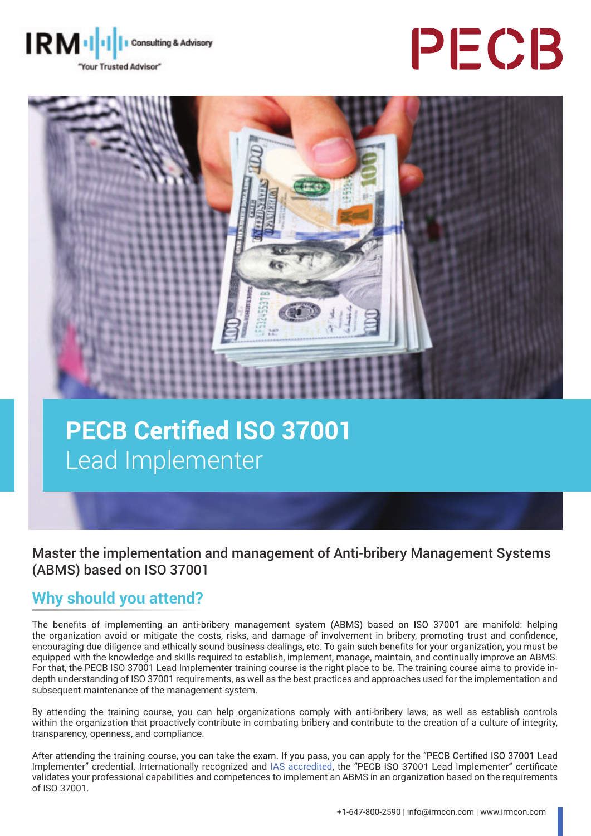

# PECB



# **PECB Certified ISO 37001** Lead Implementer

Master the implementation and management of Anti-bribery Management Systems (ABMS) based on ISO 37001

# **Why should you attend?**

The benefits of implementing an anti-bribery management system (ABMS) based on ISO 37001 are manifold: helping the organization avoid or mitigate the costs, risks, and damage of involvement in bribery, promoting trust and confidence, encouraging due diligence and ethically sound business dealings, etc. To gain such benefits for your organization, you must be equipped with the knowledge and skills required to establish, implement, manage, maintain, and continually improve an ABMS. For that, the PECB ISO 37001 Lead Implementer training course is the right place to be. The training course aims to provide indepth understanding of ISO 37001 requirements, as well as the best practices and approaches used for the implementation and subsequent maintenance of the management system.

By attending the training course, you can help organizations comply with anti-bribery laws, as well as establish controls within the organization that proactively contribute in combating bribery and contribute to the creation of a culture of integrity, transparency, openness, and compliance.

After attending the training course, you can take the exam. If you pass, you can apply for the "PECB Certified ISO 37001 Lead Implementer" credential. Internationally recognized and [IAS accredited](https://www.iasonline.org/wp-content/uploads/2017/05/PCB-111.pdf), the "PECB ISO 37001 Lead Implementer" certificate validates your professional capabilities and competences to implement an ABMS in an organization based on the requirements of ISO 37001.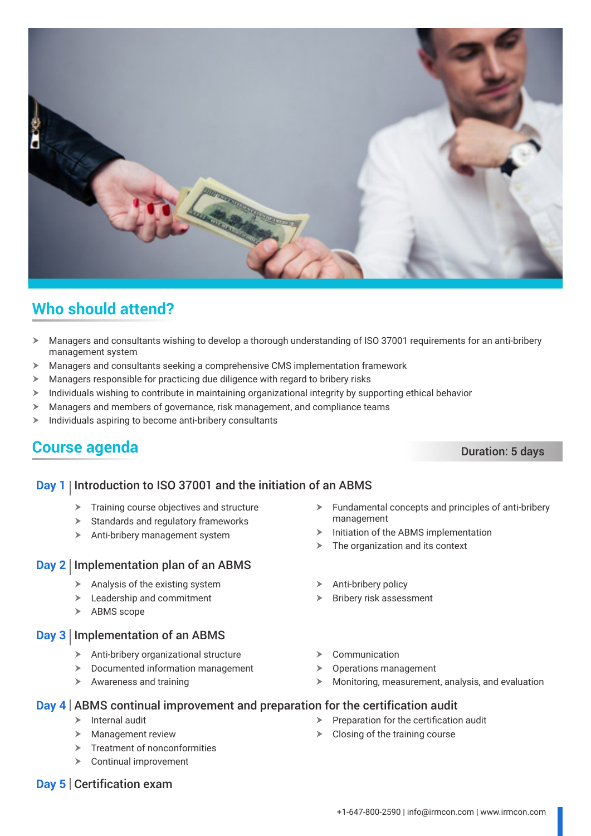

# **Who should attend?**

- > Managers and consultants wishing to develop a thorough understanding of ISO 37001 requirements for an anti-bribery management system
- $\blacktriangleright$  Managers and consultants seeking a comprehensive CMS implementation framework
- $\blacktriangleright$  Managers responsible for practicing due diligence with regard to bribery risks
- $\triangleright$  Individuals wishing to contribute in maintaining organizational integrity by supporting ethical behavior
- $\blacktriangleright$  Managers and members of governance, risk management, and compliance teams
- $\blacktriangleright$  Individuals aspiring to become anti-bribery consultants

# **Course agenda** Duration: 5 days

## **Day 1** Introduction to ISO 37001 and the initiation of an ABMS

- $\triangleright$  Training course objectives and structure
- $\triangleright$  Standards and regulatory frameworks
- $\blacktriangleright$  Anti-bribery management system

#### **Day 2** Implementation plan of an ABMS

- $\triangleright$  Analysis of the existing system
- $\blacktriangleright$  Leadership and commitment
- $\triangleright$  ABMS scope

#### **Day 3** Implementation of an ABMS

- $\triangleright$  Anti-bribery organizational structure
- $\blacktriangleright$  Documented information management
- $\blacktriangleright$  Awareness and training
- $\blacktriangleright$  Fundamental concepts and principles of anti-bribery management
- Initiation of the ABMS implementation
- The organization and its context
- $\triangleright$  Anti-bribery policy
- $\triangleright$  Bribery risk assessment
- Communication
- Operations management

 $\triangleright$  Closing of the training course

 $\blacktriangleright$  Monitoring, measurement, analysis, and evaluation

Preparation for the certification audit

## **Day 4** ABMS continual improvement and preparation for the certification audit

- $\triangleright$  Internal audit
- $\blacktriangleright$  Management review
- $\triangleright$  Treatment of nonconformities
- $\triangleright$  Continual improvement
- **Day 5** Certification exam

+1-647-800-2590 | info@irmcon.com | www.irmcon.com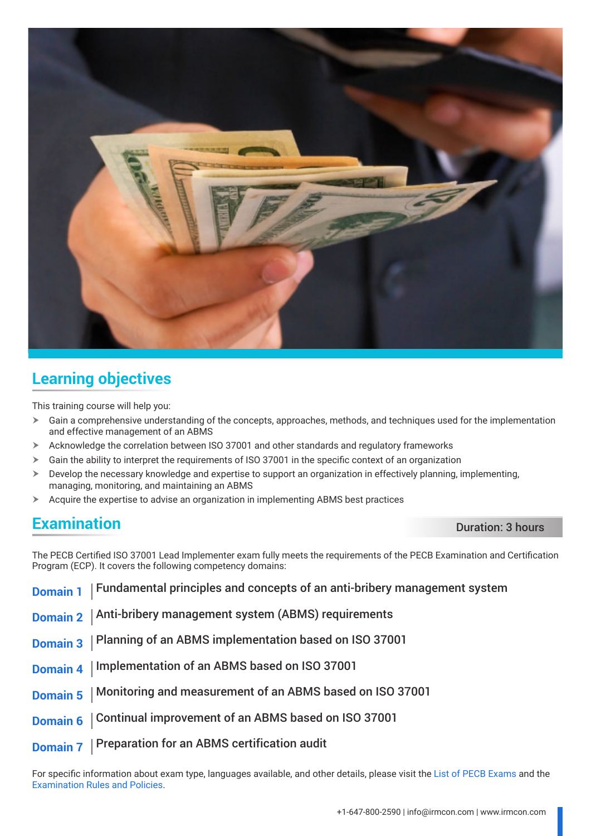

# **Learning objectives**

This training course will help you:

- $\triangleright$  Gain a comprehensive understanding of the concepts, approaches, methods, and techniques used for the implementation and effective management of an ABMS
- $\triangleright$  Acknowledge the correlation between ISO 37001 and other standards and regulatory frameworks
- $\triangleright$  Gain the ability to interpret the requirements of ISO 37001 in the specific context of an organization
- $\triangleright$  Develop the necessary knowledge and expertise to support an organization in effectively planning, implementing, managing, monitoring, and maintaining an ABMS
- $\triangleright$  Acquire the expertise to advise an organization in implementing ABMS best practices

# **Examination** Duration **Duration**: 3 hours

The PECB Certified ISO 37001 Lead Implementer exam fully meets the requirements of the PECB Examination and Certification Program (ECP). It covers the following competency domains:

| Domain 1   Fundamental principles and concepts of an anti-bribery management system |
|-------------------------------------------------------------------------------------|
| Domain 2   Anti-bribery management system (ABMS) requirements                       |
| Domain 3   Planning of an ABMS implementation based on ISO 37001                    |
| Domain 4   Implementation of an ABMS based on ISO 37001                             |
| Domain 5   Monitoring and measurement of an ABMS based on ISO 37001                 |
| Domain 6   Continual improvement of an ABMS based on ISO 37001                      |
| Domain 7   Preparation for an ABMS certification audit                              |

For specific information about exam type, languages available, and other details, please visit the [List of PECB Exams](https://pecb.com/help/index.php/list-of-pecb-exams/) and the [Examination Rules and Policies](https://pecb.com/en/examination-rules-and-policies).